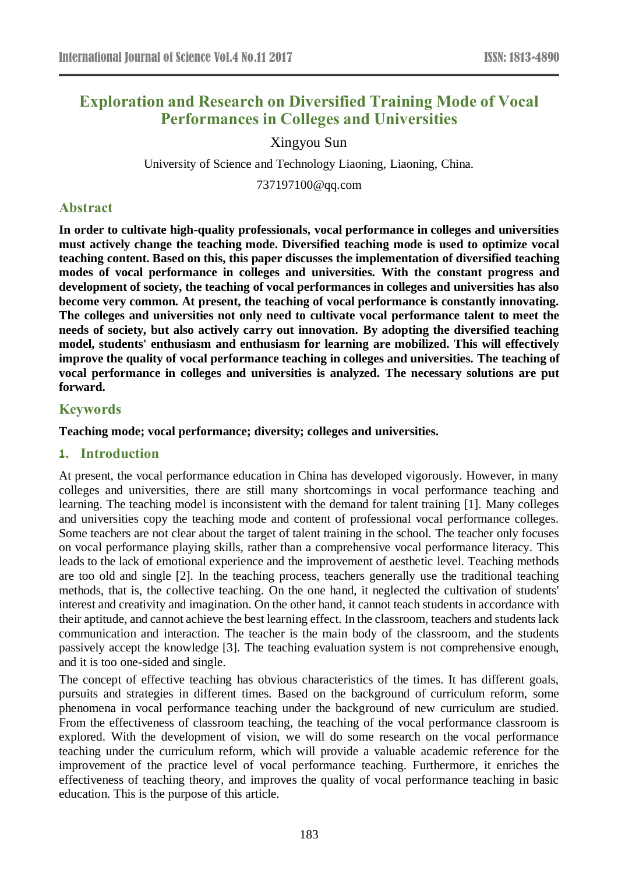# **Exploration and Research on Diversified Training Mode of Vocal Performances in Colleges and Universities**

Xingyou Sun

University of Science and Technology Liaoning, Liaoning, China.

[737197100@qq.com](mailto:737197100@qq.com)

# **Abstract**

**In order to cultivate high-quality professionals, vocal performance in colleges and universities must actively change the teaching mode. Diversified teaching mode is used to optimize vocal teaching content. Based on this, this paper discusses the implementation of diversified teaching modes of vocal performance in colleges and universities. With the constant progress and development of society, the teaching of vocal performances in colleges and universities has also become very common. At present, the teaching of vocal performance is constantly innovating. The colleges and universities not only need to cultivate vocal performance talent to meet the needs of society, but also actively carry out innovation. By adopting the diversified teaching model, students' enthusiasm and enthusiasm for learning are mobilized. This will effectively improve the quality of vocal performance teaching in colleges and universities. The teaching of vocal performance in colleges and universities is analyzed. The necessary solutions are put forward.**

# **Keywords**

**Teaching mode; vocal performance; diversity; colleges and universities.**

## **1. Introduction**

At present, the vocal performance education in China has developed vigorously. However, in many colleges and universities, there are still many shortcomings in vocal performance teaching and learning. The teaching model is inconsistent with the demand for talent training [1]. Many colleges and universities copy the teaching mode and content of professional vocal performance colleges. Some teachers are not clear about the target of talent training in the school. The teacher only focuses on vocal performance playing skills, rather than a comprehensive vocal performance literacy. This leads to the lack of emotional experience and the improvement of aesthetic level. Teaching methods are too old and single [2]. In the teaching process, teachers generally use the traditional teaching methods, that is, the collective teaching. On the one hand, it neglected the cultivation of students' interest and creativity and imagination. On the other hand, it cannot teach students in accordance with their aptitude, and cannot achieve the best learning effect. In the classroom, teachers and students lack communication and interaction. The teacher is the main body of the classroom, and the students passively accept the knowledge [3]. The teaching evaluation system is not comprehensive enough, and it is too one-sided and single.

The concept of effective teaching has obvious characteristics of the times. It has different goals, pursuits and strategies in different times. Based on the background of curriculum reform, some phenomena in vocal performance teaching under the background of new curriculum are studied. From the effectiveness of classroom teaching, the teaching of the vocal performance classroom is explored. With the development of vision, we will do some research on the vocal performance teaching under the curriculum reform, which will provide a valuable academic reference for the improvement of the practice level of vocal performance teaching. Furthermore, it enriches the effectiveness of teaching theory, and improves the quality of vocal performance teaching in basic education. This is the purpose of this article.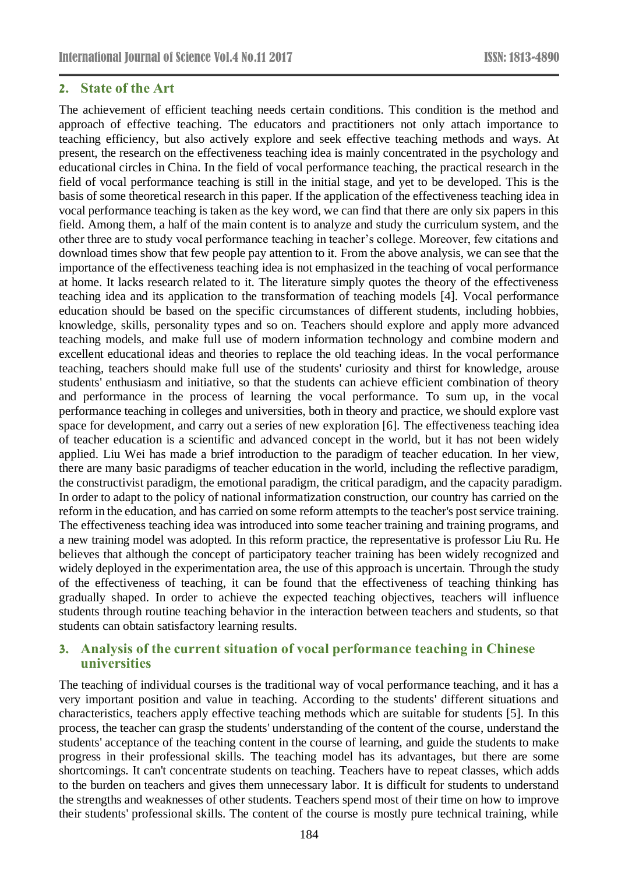## **2. State of the Art**

The achievement of efficient teaching needs certain conditions. This condition is the method and approach of effective teaching. The educators and practitioners not only attach importance to teaching efficiency, but also actively explore and seek effective teaching methods and ways. At present, the research on the effectiveness teaching idea is mainly concentrated in the psychology and educational circles in China. In the field of vocal performance teaching, the practical research in the field of vocal performance teaching is still in the initial stage, and yet to be developed. This is the basis of some theoretical research in this paper. If the application of the effectiveness teaching idea in vocal performance teaching is taken as the key word, we can find that there are only six papers in this field. Among them, a half of the main content is to analyze and study the curriculum system, and the other three are to study vocal performance teaching in teacher's college. Moreover, few citations and download times show that few people pay attention to it. From the above analysis, we can see that the importance of the effectiveness teaching idea is not emphasized in the teaching of vocal performance at home. It lacks research related to it. The literature simply quotes the theory of the effectiveness teaching idea and its application to the transformation of teaching models [4]. Vocal performance education should be based on the specific circumstances of different students, including hobbies, knowledge, skills, personality types and so on. Teachers should explore and apply more advanced teaching models, and make full use of modern information technology and combine modern and excellent educational ideas and theories to replace the old teaching ideas. In the vocal performance teaching, teachers should make full use of the students' curiosity and thirst for knowledge, arouse students' enthusiasm and initiative, so that the students can achieve efficient combination of theory and performance in the process of learning the vocal performance. To sum up, in the vocal performance teaching in colleges and universities, both in theory and practice, we should explore vast space for development, and carry out a series of new exploration [6]. The effectiveness teaching idea of teacher education is a scientific and advanced concept in the world, but it has not been widely applied. Liu Wei has made a brief introduction to the paradigm of teacher education. In her view, there are many basic paradigms of teacher education in the world, including the reflective paradigm, the constructivist paradigm, the emotional paradigm, the critical paradigm, and the capacity paradigm. In order to adapt to the policy of national informatization construction, our country has carried on the reform in the education, and has carried on some reform attempts to the teacher's post service training. The effectiveness teaching idea was introduced into some teacher training and training programs, and a new training model was adopted. In this reform practice, the representative is professor Liu Ru. He believes that although the concept of participatory teacher training has been widely recognized and widely deployed in the experimentation area, the use of this approach is uncertain. Through the study of the effectiveness of teaching, it can be found that the effectiveness of teaching thinking has gradually shaped. In order to achieve the expected teaching objectives, teachers will influence students through routine teaching behavior in the interaction between teachers and students, so that students can obtain satisfactory learning results.

# **3. Analysis of the current situation of vocal performance teaching in Chinese universities**

The teaching of individual courses is the traditional way of vocal performance teaching, and it has a very important position and value in teaching. According to the students' different situations and characteristics, teachers apply effective teaching methods which are suitable for students [5]. In this process, the teacher can grasp the students' understanding of the content of the course, understand the students' acceptance of the teaching content in the course of learning, and guide the students to make progress in their professional skills. The teaching model has its advantages, but there are some shortcomings. It can't concentrate students on teaching. Teachers have to repeat classes, which adds to the burden on teachers and gives them unnecessary labor. It is difficult for students to understand the strengths and weaknesses of other students. Teachers spend most of their time on how to improve their students' professional skills. The content of the course is mostly pure technical training, while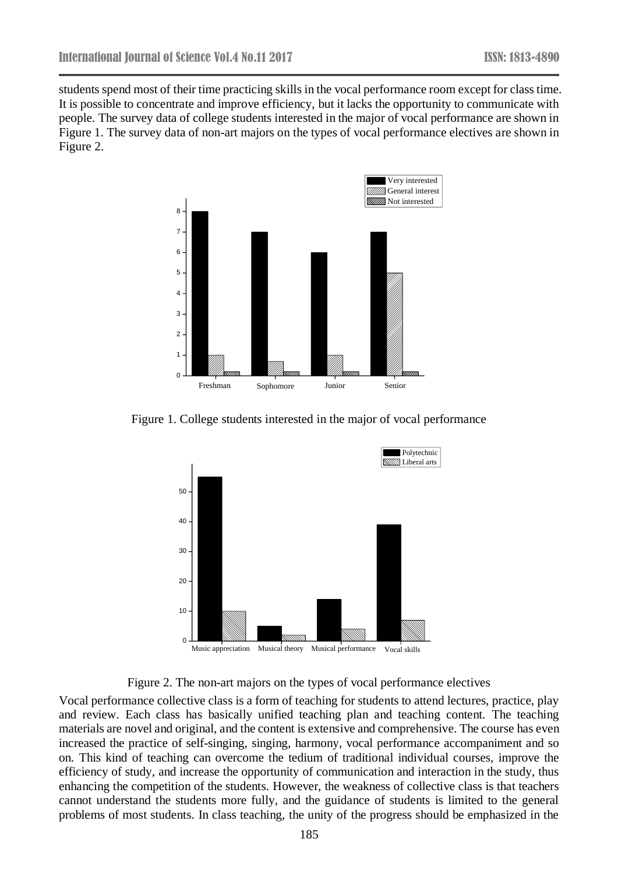students spend most of their time practicing skills in the vocal performance room except for class time. It is possible to concentrate and improve efficiency, but it lacks the opportunity to communicate with people. The survey data of college students interested in the major of vocal performance are shown in Figure 1. The survey data of non-art majors on the types of vocal performance electives are shown in Figure 2.



Figure 1. College students interested in the major of vocal performance



Figure 2. The non-art majors on the types of vocal performance electives

Vocal performance collective class is a form of teaching for students to attend lectures, practice, play and review. Each class has basically unified teaching plan and teaching content. The teaching materials are novel and original, and the content is extensive and comprehensive. The course has even increased the practice of self-singing, singing, harmony, vocal performance accompaniment and so on. This kind of teaching can overcome the tedium of traditional individual courses, improve the efficiency of study, and increase the opportunity of communication and interaction in the study, thus enhancing the competition of the students. However, the weakness of collective class is that teachers cannot understand the students more fully, and the guidance of students is limited to the general problems of most students. In class teaching, the unity of the progress should be emphasized in the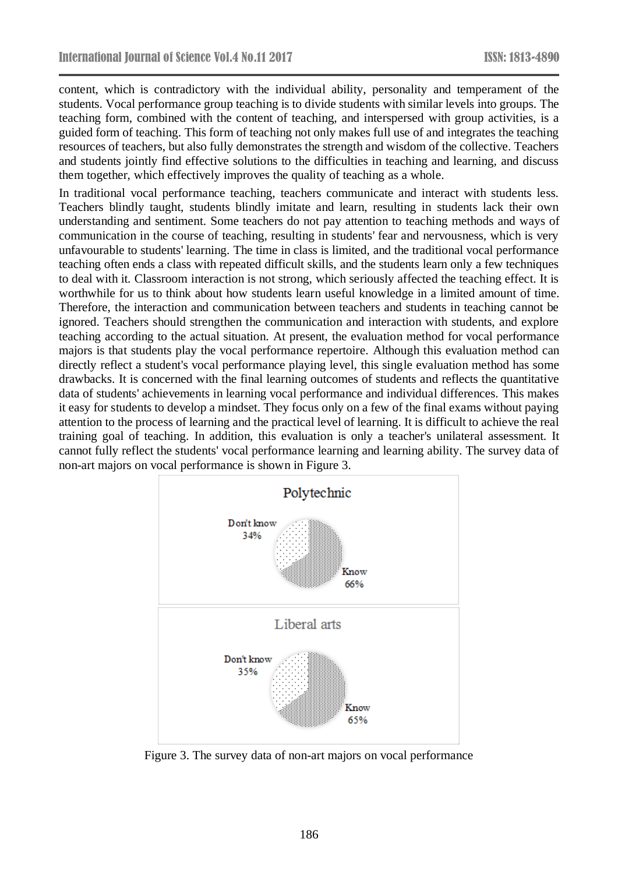content, which is contradictory with the individual ability, personality and temperament of the students. Vocal performance group teaching is to divide students with similar levels into groups. The teaching form, combined with the content of teaching, and interspersed with group activities, is a guided form of teaching. This form of teaching not only makes full use of and integrates the teaching resources of teachers, but also fully demonstrates the strength and wisdom of the collective. Teachers and students jointly find effective solutions to the difficulties in teaching and learning, and discuss them together, which effectively improves the quality of teaching as a whole.

In traditional vocal performance teaching, teachers communicate and interact with students less. Teachers blindly taught, students blindly imitate and learn, resulting in students lack their own understanding and sentiment. Some teachers do not pay attention to teaching methods and ways of communication in the course of teaching, resulting in students' fear and nervousness, which is very unfavourable to students' learning. The time in class is limited, and the traditional vocal performance teaching often ends a class with repeated difficult skills, and the students learn only a few techniques to deal with it. Classroom interaction is not strong, which seriously affected the teaching effect. It is worthwhile for us to think about how students learn useful knowledge in a limited amount of time. Therefore, the interaction and communication between teachers and students in teaching cannot be ignored. Teachers should strengthen the communication and interaction with students, and explore teaching according to the actual situation. At present, the evaluation method for vocal performance majors is that students play the vocal performance repertoire. Although this evaluation method can directly reflect a student's vocal performance playing level, this single evaluation method has some drawbacks. It is concerned with the final learning outcomes of students and reflects the quantitative data of students' achievements in learning vocal performance and individual differences. This makes it easy for students to develop a mindset. They focus only on a few of the final exams without paying attention to the process of learning and the practical level of learning. It is difficult to achieve the real training goal of teaching. In addition, this evaluation is only a teacher's unilateral assessment. It cannot fully reflect the students' vocal performance learning and learning ability. The survey data of non-art majors on vocal performance is shown in Figure 3.



Figure 3. The survey data of non-art majors on vocal performance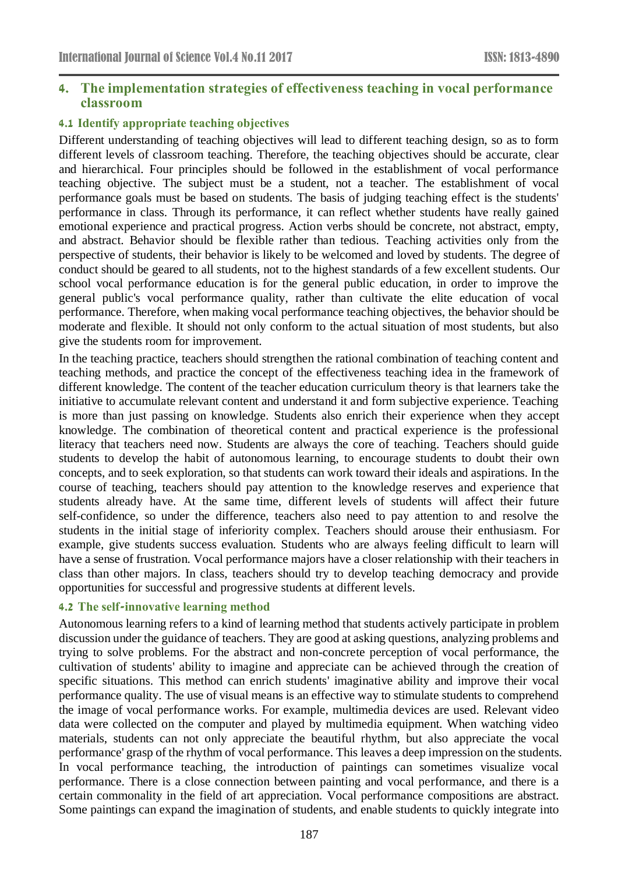## **4. The implementation strategies of effectiveness teaching in vocal performance classroom**

## **4.1 Identify appropriate teaching objectives**

Different understanding of teaching objectives will lead to different teaching design, so as to form different levels of classroom teaching. Therefore, the teaching objectives should be accurate, clear and hierarchical. Four principles should be followed in the establishment of vocal performance teaching objective. The subject must be a student, not a teacher. The establishment of vocal performance goals must be based on students. The basis of judging teaching effect is the students' performance in class. Through its performance, it can reflect whether students have really gained emotional experience and practical progress. Action verbs should be concrete, not abstract, empty, and abstract. Behavior should be flexible rather than tedious. Teaching activities only from the perspective of students, their behavior is likely to be welcomed and loved by students. The degree of conduct should be geared to all students, not to the highest standards of a few excellent students. Our school vocal performance education is for the general public education, in order to improve the general public's vocal performance quality, rather than cultivate the elite education of vocal performance. Therefore, when making vocal performance teaching objectives, the behavior should be moderate and flexible. It should not only conform to the actual situation of most students, but also give the students room for improvement.

In the teaching practice, teachers should strengthen the rational combination of teaching content and teaching methods, and practice the concept of the effectiveness teaching idea in the framework of different knowledge. The content of the teacher education curriculum theory is that learners take the initiative to accumulate relevant content and understand it and form subjective experience. Teaching is more than just passing on knowledge. Students also enrich their experience when they accept knowledge. The combination of theoretical content and practical experience is the professional literacy that teachers need now. Students are always the core of teaching. Teachers should guide students to develop the habit of autonomous learning, to encourage students to doubt their own concepts, and to seek exploration, so that students can work toward their ideals and aspirations. In the course of teaching, teachers should pay attention to the knowledge reserves and experience that students already have. At the same time, different levels of students will affect their future self-confidence, so under the difference, teachers also need to pay attention to and resolve the students in the initial stage of inferiority complex. Teachers should arouse their enthusiasm. For example, give students success evaluation. Students who are always feeling difficult to learn will have a sense of frustration. Vocal performance majors have a closer relationship with their teachers in class than other majors. In class, teachers should try to develop teaching democracy and provide opportunities for successful and progressive students at different levels.

## **4.2 The self-innovative learning method**

Autonomous learning refers to a kind of learning method that students actively participate in problem discussion under the guidance of teachers. They are good at asking questions, analyzing problems and trying to solve problems. For the abstract and non-concrete perception of vocal performance, the cultivation of students' ability to imagine and appreciate can be achieved through the creation of specific situations. This method can enrich students' imaginative ability and improve their vocal performance quality. The use of visual means is an effective way to stimulate students to comprehend the image of vocal performance works. For example, multimedia devices are used. Relevant video data were collected on the computer and played by multimedia equipment. When watching video materials, students can not only appreciate the beautiful rhythm, but also appreciate the vocal performance' grasp of the rhythm of vocal performance. This leaves a deep impression on the students. In vocal performance teaching, the introduction of paintings can sometimes visualize vocal performance. There is a close connection between painting and vocal performance, and there is a certain commonality in the field of art appreciation. Vocal performance compositions are abstract. Some paintings can expand the imagination of students, and enable students to quickly integrate into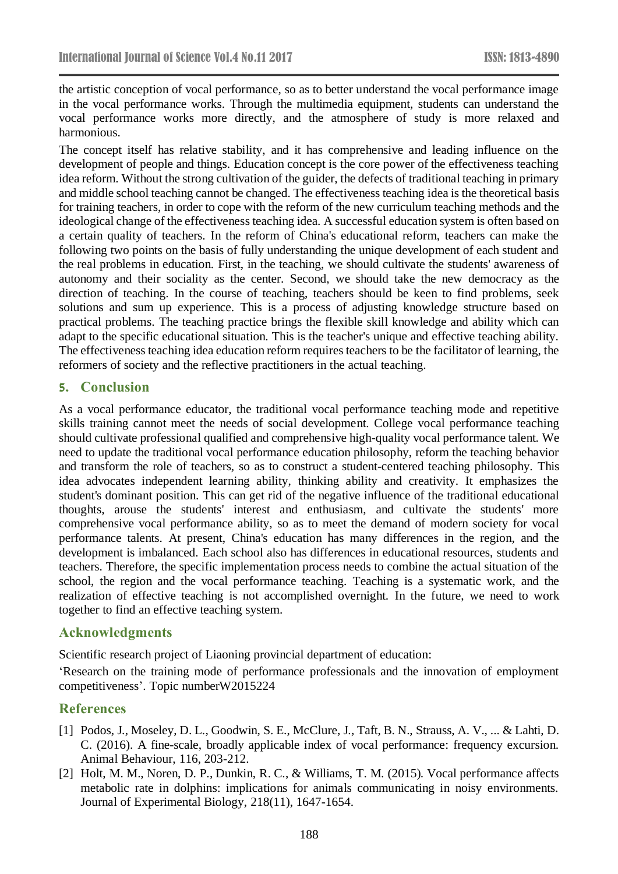the artistic conception of vocal performance, so as to better understand the vocal performance image in the vocal performance works. Through the multimedia equipment, students can understand the vocal performance works more directly, and the atmosphere of study is more relaxed and harmonious.

The concept itself has relative stability, and it has comprehensive and leading influence on the development of people and things. Education concept is the core power of the effectiveness teaching idea reform. Without the strong cultivation of the guider, the defects of traditional teaching in primary and middle school teaching cannot be changed. The effectiveness teaching idea is the theoretical basis for training teachers, in order to cope with the reform of the new curriculum teaching methods and the ideological change of the effectiveness teaching idea. A successful education system is often based on a certain quality of teachers. In the reform of China's educational reform, teachers can make the following two points on the basis of fully understanding the unique development of each student and the real problems in education. First, in the teaching, we should cultivate the students' awareness of autonomy and their sociality as the center. Second, we should take the new democracy as the direction of teaching. In the course of teaching, teachers should be keen to find problems, seek solutions and sum up experience. This is a process of adjusting knowledge structure based on practical problems. The teaching practice brings the flexible skill knowledge and ability which can adapt to the specific educational situation. This is the teacher's unique and effective teaching ability. The effectiveness teaching idea education reform requires teachers to be the facilitator of learning, the reformers of society and the reflective practitioners in the actual teaching.

## **5. Conclusion**

As a vocal performance educator, the traditional vocal performance teaching mode and repetitive skills training cannot meet the needs of social development. College vocal performance teaching should cultivate professional qualified and comprehensive high-quality vocal performance talent. We need to update the traditional vocal performance education philosophy, reform the teaching behavior and transform the role of teachers, so as to construct a student-centered teaching philosophy. This idea advocates independent learning ability, thinking ability and creativity. It emphasizes the student's dominant position. This can get rid of the negative influence of the traditional educational thoughts, arouse the students' interest and enthusiasm, and cultivate the students' more comprehensive vocal performance ability, so as to meet the demand of modern society for vocal performance talents. At present, China's education has many differences in the region, and the development is imbalanced. Each school also has differences in educational resources, students and teachers. Therefore, the specific implementation process needs to combine the actual situation of the school, the region and the vocal performance teaching. Teaching is a systematic work, and the realization of effective teaching is not accomplished overnight. In the future, we need to work together to find an effective teaching system.

## **Acknowledgments**

Scientific research project of Liaoning provincial department of education:

'Research on the training mode of performance professionals and the innovation of employment competitiveness'. Topic numberW2015224

# **References**

- [1] Podos, J., Moseley, D. L., Goodwin, S. E., McClure, J., Taft, B. N., Strauss, A. V., ... & Lahti, D. C. (2016). A fine-scale, broadly applicable index of vocal performance: frequency excursion. Animal Behaviour, 116, 203-212.
- [2] Holt, M. M., Noren, D. P., Dunkin, R. C., & Williams, T. M. (2015). Vocal performance affects metabolic rate in dolphins: implications for animals communicating in noisy environments. Journal of Experimental Biology, 218(11), 1647-1654.